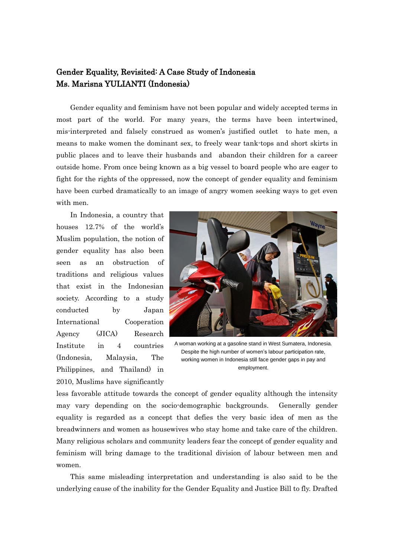## Gender Equality, Revisited: A Case Study of Indonesia Ms. Marisna YULIANTI (Indonesia)

Gender equality and feminism have not been popular and widely accepted terms in most part of the world. For many years, the terms have been intertwined, mis-interpreted and falsely construed as women's justified outlet to hate men, a means to make women the dominant sex, to freely wear tank-tops and short skirts in public places and to leave their husbands and abandon their children for a career outside home. From once being known as a big vessel to board people who are eager to fight for the rights of the oppressed, now the concept of gender equality and feminism have been curbed dramatically to an image of angry women seeking ways to get even with men.

In Indonesia, a country that houses 12.7% of the world's Muslim population, the notion of gender equality has also been seen as an obstruction of traditions and religious values that exist in the Indonesian society. According to a study conducted by Japan International Cooperation Agency (JICA) Research Institute in 4 countries (Indonesia, Malaysia, The Philippines, and Thailand) in 2010, Muslims have significantly



A woman working at a gasoline stand in West Sumatera, Indonesia. Despite the high number of women's labour participation rate, working women in Indonesia still face gender gaps in pay and employment.

less favorable attitude towards the concept of gender equality although the intensity may vary depending on the socio-demographic backgrounds. Generally gender equality is regarded as a concept that defies the very basic idea of men as the breadwinners and women as housewives who stay home and take care of the children. Many religious scholars and community leaders fear the concept of gender equality and feminism will bring damage to the traditional division of labour between men and women.

This same misleading interpretation and understanding is also said to be the underlying cause of the inability for the Gender Equality and Justice Bill to fly. Drafted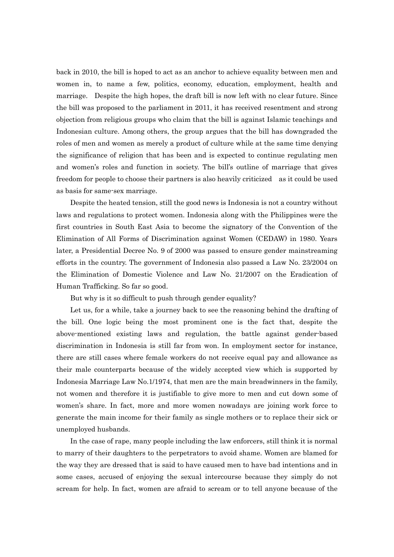back in 2010, the bill is hoped to act as an anchor to achieve equality between men and women in, to name a few, politics, economy, education, employment, health and marriage. Despite the high hopes, the draft bill is now left with no clear future. Since the bill was proposed to the parliament in 2011, it has received resentment and strong objection from religious groups who claim that the bill is against Islamic teachings and Indonesian culture. Among others, the group argues that the bill has downgraded the roles of men and women as merely a product of culture while at the same time denying the significance of religion that has been and is expected to continue regulating men and women's roles and function in society. The bill's outline of marriage that gives freedom for people to choose their partners is also heavily criticized as it could be used as basis for same-sex marriage.

Despite the heated tension, still the good news is Indonesia is not a country without laws and regulations to protect women. Indonesia along with the Philippines were the first countries in South East Asia to become the signatory of the Convention of the Elimination of All Forms of Discrimination against Women (CEDAW) in 1980. Years later, a Presidential Decree No. 9 of 2000 was passed to ensure gender mainstreaming efforts in the country. The government of Indonesia also passed a Law No. 23/2004 on the Elimination of Domestic Violence and Law No. 21/2007 on the Eradication of Human Trafficking. So far so good.

But why is it so difficult to push through gender equality?

Let us, for a while, take a journey back to see the reasoning behind the drafting of the bill. One logic being the most prominent one is the fact that, despite the above-mentioned existing laws and regulation, the battle against gender-based discrimination in Indonesia is still far from won. In employment sector for instance, there are still cases where female workers do not receive equal pay and allowance as their male counterparts because of the widely accepted view which is supported by Indonesia Marriage Law No.1/1974, that men are the main breadwinners in the family, not women and therefore it is justifiable to give more to men and cut down some of women's share. In fact, more and more women nowadays are joining work force to generate the main income for their family as single mothers or to replace their sick or unemployed husbands.

In the case of rape, many people including the law enforcers, still think it is normal to marry of their daughters to the perpetrators to avoid shame. Women are blamed for the way they are dressed that is said to have caused men to have bad intentions and in some cases, accused of enjoying the sexual intercourse because they simply do not scream for help. In fact, women are afraid to scream or to tell anyone because of the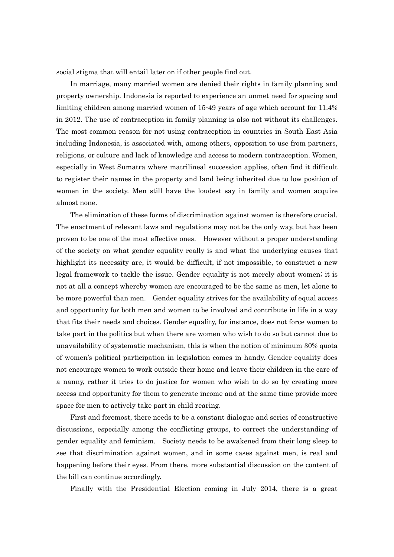social stigma that will entail later on if other people find out.

In marriage, many married women are denied their rights in family planning and property ownership. Indonesia is reported to experience an unmet need for spacing and limiting children among married women of 15-49 years of age which account for 11.4% in 2012. The use of contraception in family planning is also not without its challenges. The most common reason for not using contraception in countries in South East Asia including Indonesia, is associated with, among others, opposition to use from partners, religions, or culture and lack of knowledge and access to modern contraception. Women, especially in West Sumatra where matrilineal succession applies, often find it difficult to register their names in the property and land being inherited due to low position of women in the society. Men still have the loudest say in family and women acquire almost none.

The elimination of these forms of discrimination against women is therefore crucial. The enactment of relevant laws and regulations may not be the only way, but has been proven to be one of the most effective ones. However without a proper understanding of the society on what gender equality really is and what the underlying causes that highlight its necessity are, it would be difficult, if not impossible, to construct a new legal framework to tackle the issue. Gender equality is not merely about women; it is not at all a concept whereby women are encouraged to be the same as men, let alone to be more powerful than men. Gender equality strives for the availability of equal access and opportunity for both men and women to be involved and contribute in life in a way that fits their needs and choices. Gender equality, for instance, does not force women to take part in the politics but when there are women who wish to do so but cannot due to unavailability of systematic mechanism, this is when the notion of minimum 30% quota of women's political participation in legislation comes in handy. Gender equality does not encourage women to work outside their home and leave their children in the care of a nanny, rather it tries to do justice for women who wish to do so by creating more access and opportunity for them to generate income and at the same time provide more space for men to actively take part in child rearing.

First and foremost, there needs to be a constant dialogue and series of constructive discussions, especially among the conflicting groups, to correct the understanding of gender equality and feminism. Society needs to be awakened from their long sleep to see that discrimination against women, and in some cases against men, is real and happening before their eyes. From there, more substantial discussion on the content of the bill can continue accordingly.

Finally with the Presidential Election coming in July 2014, there is a great